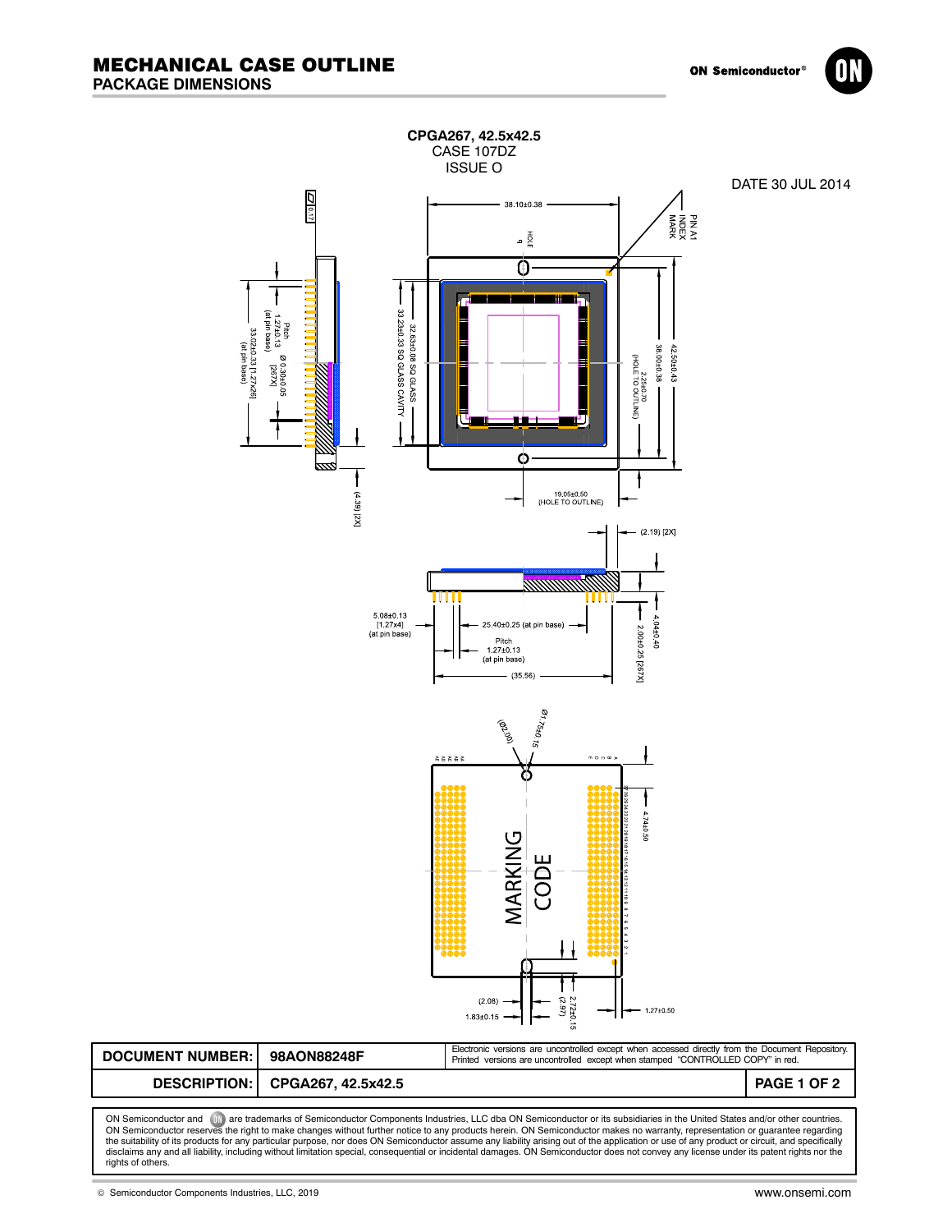



ON Semiconductor and (UN) are trademarks of Semiconductor Components Industries, LLC dba ON Semiconductor or its subsidiaries in the United States and/or other countries.<br>ON Semiconductor reserves the right to make changes